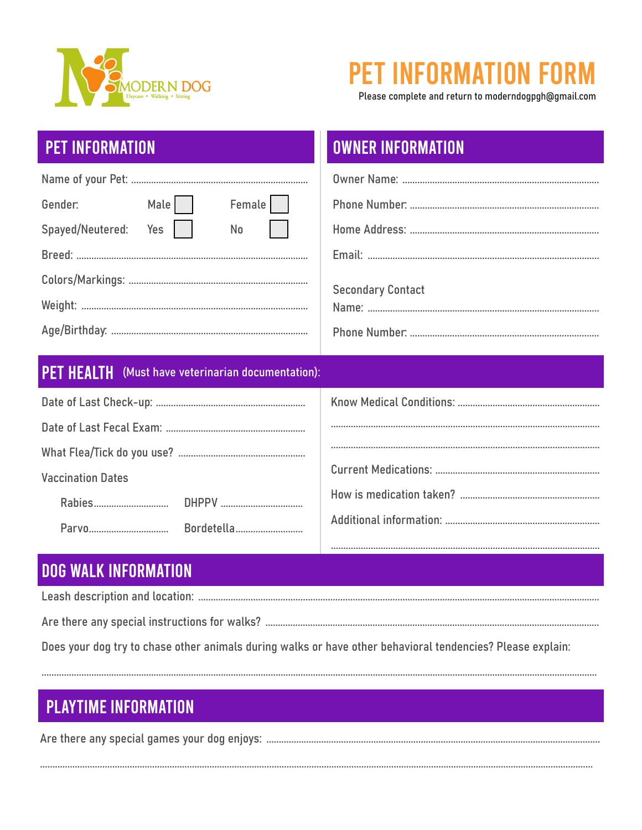

# **PET INFORMATION FO**

Please complete and return to moderndogpgh@gmail.com

## **PET INFORMATION**

| Gender:              |  | Male | Female |  |  |
|----------------------|--|------|--------|--|--|
| Spayed/Neutered: Yes |  |      | No     |  |  |
|                      |  |      |        |  |  |
|                      |  |      |        |  |  |
|                      |  |      |        |  |  |
|                      |  |      |        |  |  |

## **OWNER INFORMATION**

| <b>Secondary Contact</b> |
|--------------------------|
|                          |

#### PET HEALTH (Must have veterinarian documentation):

| <b>Vaccination Dates</b> |  |
|--------------------------|--|
|                          |  |
|                          |  |
|                          |  |

### **DOG WALK INFORMATION**

Does your dog try to chase other animals during walks or have other behavioral tendencies? Please explain:

## **PLAYTIME INFORMATION**